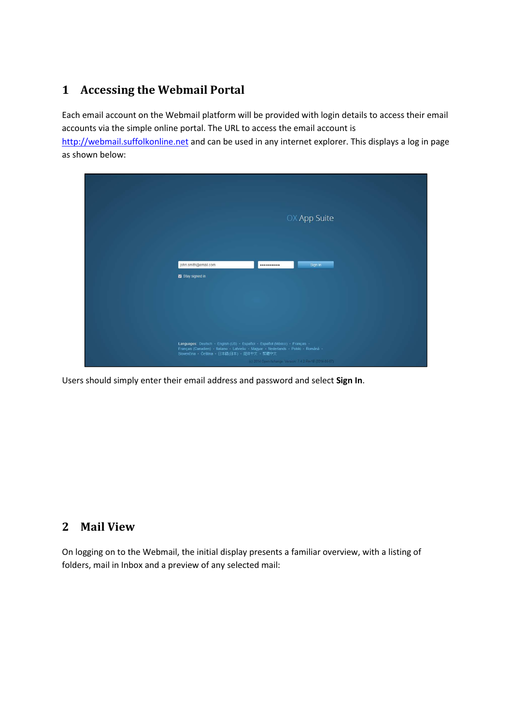# 1 Accessing the Webmail Portal

Each email account on the Webmail platform will be provided with login details to access their email accounts via the simple online portal. The URL to access the email account is

http://webmail.suffolkonline.net and can be used in any internet explorer. This displays a log in page as shown below:

| OX App Suite                                                                                                                                                                                                                                                                   |
|--------------------------------------------------------------------------------------------------------------------------------------------------------------------------------------------------------------------------------------------------------------------------------|
| john.smith@email.com<br>Sign in<br><br>Stay signed in                                                                                                                                                                                                                          |
| Languages: Deutsch · English (US) · Español · Español (México) · Français ·<br>Français (Canadien) - Italiano - Latviešu - Magyar - Nederlands - Polski - Română -<br>Slovenčina - Čeština - 日本語(日本) - 简体中文 - 紫體中文<br>(c) 2014 Open-Xchange, Version: 7.4 2 Rev18 (2014-05-07) |

Users should simply enter their email address and password and select Sign In.

#### 2 Mail View

On logging on to the Webmail, the initial display presents a familiar overview, with a listing of folders, mail in Inbox and a preview of any selected mail: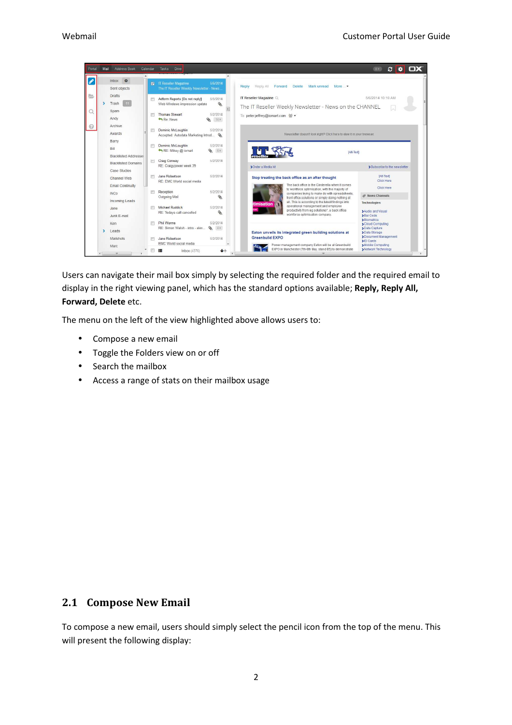

Users can navigate their mail box simply by selecting the required folder and the required email to display in the right viewing panel, which has the standard options available; Reply, Reply All, Forward, Delete etc.

The menu on the left of the view highlighted above allows users to:

- Compose a new email
- Toggle the Folders view on or off
- Search the mailbox
- Access a range of stats on their mailbox usage

#### 2.1 Compose New Email

To compose a new email, users should simply select the pencil icon from the top of the menu. This will present the following display: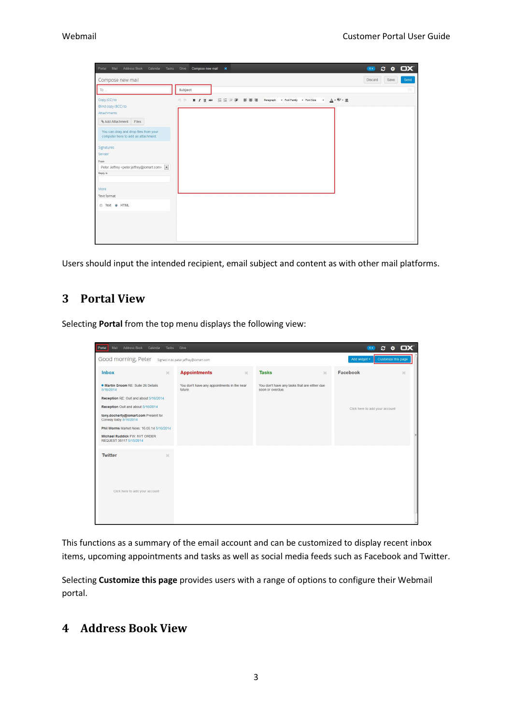| Portal Mail Address Book Calendar Tasks Drive                                                                                                                                                                                                                            | Compose new mail *                                                                           | $\bullet$ $\circ$ $\bullet$ $\Box$ X |                                  |
|--------------------------------------------------------------------------------------------------------------------------------------------------------------------------------------------------------------------------------------------------------------------------|----------------------------------------------------------------------------------------------|--------------------------------------|----------------------------------|
| Compose new mail                                                                                                                                                                                                                                                         |                                                                                              | Save<br>Discard                      | Send                             |
| To                                                                                                                                                                                                                                                                       | Subject                                                                                      |                                      | $\mathop{\mathrm{III}}\nolimits$ |
| Copy (CC) to<br>Blind copy (BCC) to<br>Attachments<br>& Add Attachment Files<br>You can drag and drop files from your<br>computer here to add as attachment.<br>Signatures<br>Sender<br>From<br>Peter Jeffrey <peter.jeffrey@iomart.com> &gt;</peter.jeffrey@iomart.com> | B <i>I</i> U AR 日日信徒 事書書 Paragraph · Font Family · Font Size · A · <sup>歌</sup> · 墨<br>29 (N |                                      |                                  |
| Reply to<br>More<br>Text format                                                                                                                                                                                                                                          |                                                                                              |                                      |                                  |
| Text @ HTML                                                                                                                                                                                                                                                              |                                                                                              |                                      |                                  |

Users should input the intended recipient, email subject and content as with other mail platforms.

### 3 Portal View

Selecting Portal from the top menu displays the following view:

| Portal<br>Mail Address Book Calendar Tasks Drive                                                                                                                                                                                                                                                            |                                                        |                                                                  | $C$ $\phi$ $\Box$ $X$<br>(4)        |
|-------------------------------------------------------------------------------------------------------------------------------------------------------------------------------------------------------------------------------------------------------------------------------------------------------------|--------------------------------------------------------|------------------------------------------------------------------|-------------------------------------|
| Good morning, Peter signed in as peter jeffrey@iomart.com                                                                                                                                                                                                                                                   |                                                        |                                                                  | Customize this page<br>Add widget - |
| <b>Inbox</b><br>$\infty$                                                                                                                                                                                                                                                                                    | <b>Appointments</b><br>$20^{\circ}$                    | <b>Tasks</b><br>$\infty$                                         | Facebook<br>$\infty$                |
| · Martin Groom RE: Suite 26 Details<br>5/16/2014<br>Reception RE: Ouit and about 5/16/2014<br>Reception Oult and about 5/16/2014<br>tony.docherty@iomart.com Present for<br>Conway baby 5/16/2014<br>Phil Worms Market News: 16.05.14 5/16/2014<br>Michael Ruddick FW: NVT ORDER<br>REQUEST 38117 5/15/2014 | You don't have any appointments in the near<br>future. | You don't have any tasks that are either due<br>soon or overdue. | Click here to add your account      |
| <b>Twitter</b><br>$\mathbf{x}$<br>Click here to add your account                                                                                                                                                                                                                                            |                                                        |                                                                  |                                     |

This functions as a summary of the email account and can be customized to display recent inbox items, upcoming appointments and tasks as well as social media feeds such as Facebook and Twitter.

Selecting Customize this page provides users with a range of options to configure their Webmail portal.

## 4 Address Book View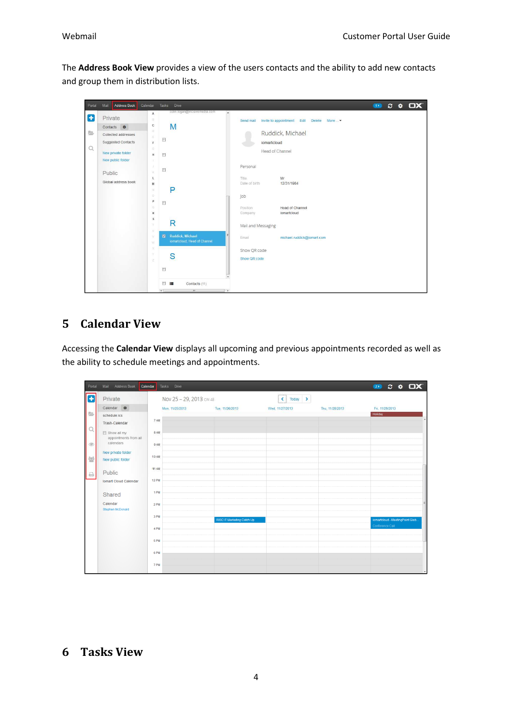The Address Book View provides a view of the users contacts and the ability to add new contacts and group them in distribution lists.

| Portal   | <b>Address Book</b><br>Mail                                            | Calendar                                       | Drive<br>Tasks                                                            | $x \bullet \Box x$<br><b>GO</b>                                              |
|----------|------------------------------------------------------------------------|------------------------------------------------|---------------------------------------------------------------------------|------------------------------------------------------------------------------|
| Œ        | Private                                                                | Α<br>图<br>$\mathbb{C}$                         | colin.logan@incisivemedia.com<br>M                                        | $\boldsymbol{\kappa}$<br>Invite to appointment Edit Delete More<br>Send mail |
| b        | Contacts $\bullet$<br>Collected addresses<br><b>Suggested Contacts</b> | $\Omega$<br>ε<br>$\mathsf{F}$                  | 目                                                                         | Ruddick, Michael<br>iomartcloud                                              |
| $\alpha$ | New private folder<br>New public folder                                | $\tilde{G}$<br>H                               | $\overline{\mathbb{H}}$                                                   | Head of Channel                                                              |
|          | Public                                                                 | K                                              | 目                                                                         | Personal                                                                     |
|          | Global address book                                                    | L<br>M<br>W.                                   | P                                                                         | Title.<br>Mr<br>12/31/1984<br>Date of birth                                  |
|          |                                                                        | $\circ$<br>P<br>$\alpha$<br>$\dot{\mathsf{R}}$ | $\blacksquare$                                                            | Job<br>Position<br>Head of Channel<br>iomartcloud<br>Company                 |
|          |                                                                        | $\overline{\mathsf{s}}$<br>Ŧ<br>U.             | R                                                                         | Mail and Messaging                                                           |
|          |                                                                        | V.<br>W                                        | <b>Ruddick, Michael</b><br>$\overline{M}$<br>iomartcloud, Head of Channel | Email<br>michael.ruddick@iomart.com                                          |
|          |                                                                        | ×<br>У<br>z                                    | S                                                                         | Show QR code<br>Show QR code                                                 |
|          |                                                                        |                                                | $\Box$                                                                    |                                                                              |
|          |                                                                        |                                                | 图片<br>Contacts (11)<br>$\epsilon$<br>m.                                   | $\frac{1}{2}$                                                                |

# 5 Calendar View

Accessing the Calendar View displays all upcoming and previous appointments recorded as well as the ability to schedule meetings and appointments.

| Portal           | Address Book<br>Calendar<br>Mail        | Tasks Drive             |                            |                 |                 | $20$ $C$ $Q$ $D$ $X'$           |
|------------------|-----------------------------------------|-------------------------|----------------------------|-----------------|-----------------|---------------------------------|
| $\left  \right $ | Private                                 | Nov 25 - 29, 2013 cw 48 |                            | Today ><br>K.   |                 |                                 |
|                  | Calendar $\Phi$                         | Mon, 11/25/2013         | Tue, 11/26/2013            | Wed, 11/27/2013 | Thu, 11/28/2013 | Fri, 11/29/2013                 |
|                  | schedule.ics<br>Trash-Calendar          | 7 AM                    |                            |                 |                 | Holiday                         |
|                  | Show all my<br>appointments from all    | 8 AM                    |                            |                 |                 |                                 |
|                  | calendars                               | 9 AM                    |                            |                 |                 |                                 |
|                  | New private folder<br>New public folder | 10 AM                   |                            |                 |                 |                                 |
|                  | Public                                  | <b>11 AM</b>            |                            |                 |                 |                                 |
|                  | Iomart Cloud Calendar                   | <b>12 PM</b>            |                            |                 |                 |                                 |
|                  | Shared                                  | 1 PM                    |                            |                 |                 |                                 |
|                  | Calendar<br>Stephen McDonald            | 2 PM                    |                            |                 |                 |                                 |
|                  |                                         | 3 PM                    | RISC IT Marketing Catch Up |                 |                 | iomartcloud - MeetingPoint Glob |
|                  |                                         | 4 PM                    |                            |                 |                 | Conference Call                 |
|                  |                                         | 5 PM                    |                            |                 |                 |                                 |
|                  |                                         | 6 PM                    |                            |                 |                 |                                 |
|                  |                                         | 7 PM                    |                            |                 |                 | $\overline{\phantom{a}}$        |

#### 6 Tasks View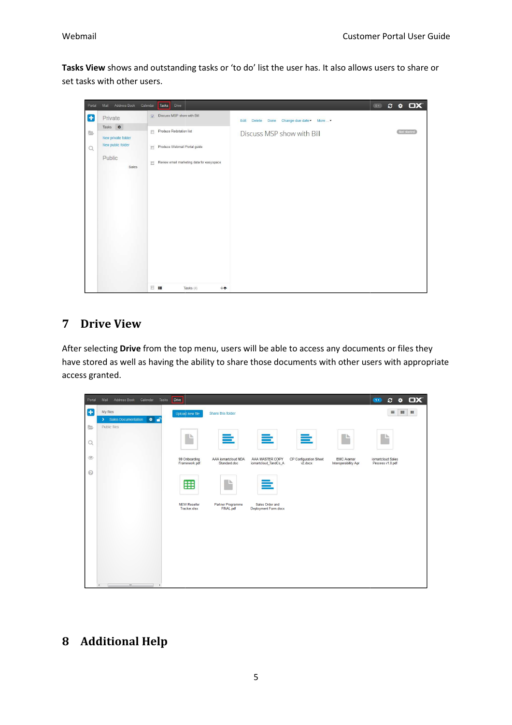Tasks View shows and outstanding tasks or 'to do' list the user has. It also allows users to share or set tasks with other users.

| Portal | Address Book<br>Calendar<br>Mail                        |                      | Tasks<br>Drive                            |                |      |                            | (0) | $C = \Phi$ |                    | <b>OX</b> |
|--------|---------------------------------------------------------|----------------------|-------------------------------------------|----------------|------|----------------------------|-----|------------|--------------------|-----------|
| Ð      | Private                                                 |                      | Discuss MSP show with Bill                | Edit<br>Delete | Done | Change due date - More  -  |     |            |                    |           |
| 틀      | Tasks <b><math>\bullet</math></b><br>New private folder | $\qquad \qquad \Box$ | Produce Redstation list                   |                |      | Discuss MSP show with Bill |     |            | <b>Not started</b> |           |
| Q      | New public folder                                       | 回                    | Produce Webmail Portal guide              |                |      |                            |     |            |                    |           |
|        | Public<br>Sales                                         | 同                    | Review email marketing data for easyspace |                |      |                            |     |            |                    |           |
|        |                                                         |                      |                                           |                |      |                            |     |            |                    |           |
|        |                                                         |                      |                                           |                |      |                            |     |            |                    |           |
|        |                                                         |                      |                                           |                |      |                            |     |            |                    |           |
|        |                                                         |                      |                                           |                |      |                            |     |            |                    |           |
|        |                                                         |                      |                                           |                |      |                            |     |            |                    |           |
|        |                                                         |                      |                                           |                |      |                            |     |            |                    |           |
|        |                                                         |                      |                                           |                |      |                            |     |            |                    |           |
|        |                                                         | 日本                   | $+1$<br>Tasks (4)                         |                |      |                            |     |            |                    |           |

# 7 Drive View

After selecting Drive from the top menu, users will be able to access any documents or files they have stored as well as having the ability to share those documents with other users with appropriate access granted.

| Portal         | Address Book Calendar Tasks<br>Mail                      | <b>Drive</b>                        |                                     |                                         |                                          |                                    | $C$ & $\Box X$<br>$\bullet$              |
|----------------|----------------------------------------------------------|-------------------------------------|-------------------------------------|-----------------------------------------|------------------------------------------|------------------------------------|------------------------------------------|
| Œ              | My files<br>> Sales Documentation<br>$\bullet$ $\bullet$ | Upload new file                     | Share this folder                   |                                         |                                          |                                    | $\equiv$<br>$\equiv$<br>$\mathbb{R}^n_+$ |
| <b>b</b>       | Public files                                             |                                     |                                     |                                         |                                          |                                    | ⊪⊾                                       |
| $\alpha$       |                                                          | P                                   | =                                   | ≣                                       | $\equiv$                                 | A                                  |                                          |
| $\circledcirc$ |                                                          | 90 Onboarding<br>Framework.pdf      | AAA iomartcloud NDA<br>Standard.doc | AAA MASTER COPY<br>iomartcloud_TandCs_A | CP Configuration Sheet<br>$v2$ , doc $x$ | EMC Avamar<br>Interoperability Apr | iomartcloud Sales<br>Process v1.0.pdf    |
| $\odot$        |                                                          | 囲                                   | ⊪⊾<br>₩                             | ≣                                       |                                          |                                    |                                          |
|                |                                                          | <b>NEW Reseller</b><br>Tracker.xlsx | Partner Programme<br>FINAL.pdf      | Sales Order and<br>Deployment Form.docx |                                          |                                    |                                          |
|                |                                                          |                                     |                                     |                                         |                                          |                                    |                                          |
|                | $\mathbf{m}$<br>$\mathbf{r}$<br>$\leftarrow$             |                                     |                                     |                                         |                                          |                                    |                                          |

# 8 Additional Help